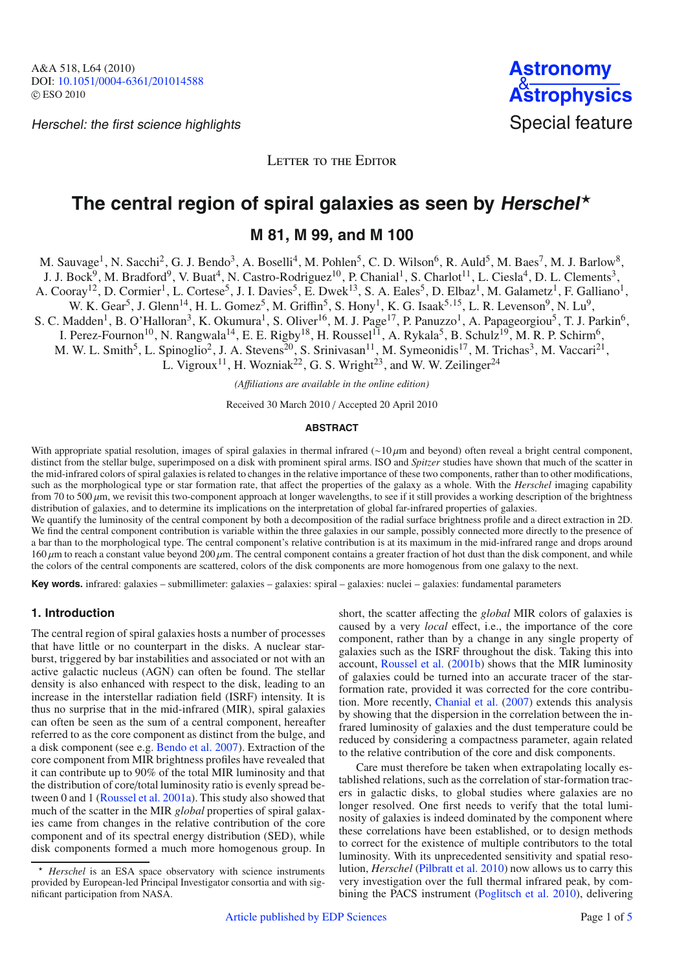Herschel: the first science highlights Special feature



LETTER TO THE EDITOR

# **The central region of spiral galaxies as seen by Herschel**-

**M 81, M 99, and M 100**

M. Sauvage<sup>1</sup>, N. Sacchi<sup>2</sup>, G. J. Bendo<sup>3</sup>, A. Boselli<sup>4</sup>, M. Pohlen<sup>5</sup>, C. D. Wilson<sup>6</sup>, R. Auld<sup>5</sup>, M. Baes<sup>7</sup>, M. J. Barlow<sup>8</sup>,

J. J. Bock<sup>9</sup>, M. Bradford<sup>9</sup>, V. Buat<sup>4</sup>, N. Castro-Rodriguez<sup>10</sup>, P. Chanial<sup>1</sup>, S. Charlot<sup>11</sup>, L. Ciesla<sup>4</sup>, D. L. Clements<sup>3</sup>,

A. Cooray<sup>12</sup>, D. Cormier<sup>1</sup>, L. Cortese<sup>5</sup>, J. I. Davies<sup>5</sup>, E. Dwek<sup>13</sup>, S. A. Eales<sup>5</sup>, D. Elbaz<sup>1</sup>, M. Galametz<sup>1</sup>, F. Galliano<sup>1</sup>,

W. K. Gear<sup>5</sup>, J. Glenn<sup>14</sup>, H. L. Gomez<sup>5</sup>, M. Griffin<sup>5</sup>, S. Hony<sup>1</sup>, K. G. Isaak<sup>5,15</sup>, L. R. Levenson<sup>9</sup>, N. Lu<sup>9</sup>,

S. C. Madden<sup>1</sup>, B. O'Halloran<sup>3</sup>, K. Okumura<sup>1</sup>, S. Oliver<sup>16</sup>, M. J. Page<sup>17</sup>, P. Panuzzo<sup>1</sup>, A. Papageorgiou<sup>5</sup>, T. J. Parkin<sup>6</sup>,

I. Perez-Fournon<sup>10</sup>, N. Rangwala<sup>14</sup>, E. E. Rigby<sup>18</sup>, H. Roussel<sup>11</sup>, A. Rykala<sup>5</sup>, B. Schulz<sup>19</sup>, M. R. P. Schirm<sup>6</sup>,

M. W. L. Smith<sup>5</sup>, L. Spinoglio<sup>2</sup>, J. A. Stevens<sup>20</sup>, S. Srinivasan<sup>11</sup>, M. Symeonidis<sup>17</sup>, M. Trichas<sup>3</sup>, M. Vaccari<sup>21</sup>,

L. Vigroux<sup>11</sup>, H. Wozniak<sup>22</sup>, G. S. Wright<sup>23</sup>, and W. W. Zeilinger<sup>24</sup>

*(A*ffi*liations are available in the online edition)*

Received 30 March 2010 / Accepted 20 April 2010

#### **ABSTRACT**

With appropriate spatial resolution, images of spiral galaxies in thermal infrared ( $\sim 10 \mu$ m and beyond) often reveal a bright central component, distinct from the stellar bulge, superimposed on a disk with prominent spiral arms. ISO and *Spitzer* studies have shown that much of the scatter in the mid-infrared colors of spiral galaxies is related to changes in the relative importance of these two components, rather than to other modifications, such as the morphological type or star formation rate, that affect the properties of the galaxy as a whole. With the *Herschel* imaging capability from 70 to 500  $\mu$ m, we revisit this two-component approach at longer wavelengths, to see if it still provides a working description of the brightness distribution of galaxies, and to determine its implications on the interpretation of global far-infrared properties of galaxies.

We quantify the luminosity of the central component by both a decomposition of the radial surface brightness profile and a direct extraction in 2D. We find the central component contribution is variable within the three galaxies in our sample, possibly connected more directly to the presence of a bar than to the morphological type. The central component's relative contribution is at its maximum in the mid-infrared range and drops around  $160 \mu$ m to reach a constant value beyond  $200 \mu$ m. The central component contains a greater fraction of hot dust than the disk component, and while the colors of the central components are scattered, colors of the disk components are more homogenous from one galaxy to the next.

Key words. infrared: galaxies – submillimeter: galaxies – galaxies: spiral – galaxies: nuclei – galaxies: fundamental parameters

## **1. Introduction**

The central region of spiral galaxies hosts a number of processes that have little or no counterpart in the disks. A nuclear starburst, triggered by bar instabilities and associated or not with an active galactic nucleus (AGN) can often be found. The stellar density is also enhanced with respect to the disk, leading to an increase in the interstellar radiation field (ISRF) intensity. It is thus no surprise that in the mid-infrared (MIR), spiral galaxies can often be seen as the sum of a central component, hereafter referred to as the core component as distinct from the bulge, and a disk component (see e.g. [Bendo et al. 2007\)](#page-3-0). Extraction of the core component from MIR brightness profiles have revealed that it can contribute up to 90% of the total MIR luminosity and that the distribution of core/total luminosity ratio is evenly spread between 0 and 1 [\(Roussel et al. 2001a\)](#page-3-1). This study also showed that much of the scatter in the MIR *global* properties of spiral galaxies came from changes in the relative contribution of the core component and of its spectral energy distribution (SED), while disk components formed a much more homogenous group. In

short, the scatter affecting the *global* MIR colors of galaxies is caused by a very *local* effect, i.e., the importance of the core component, rather than by a change in any single property of galaxies such as the ISRF throughout the disk. Taking this into account, [Roussel et al.](#page-3-2) [\(2001b\)](#page-3-2) shows that the MIR luminosity of galaxies could be turned into an accurate tracer of the starformation rate, provided it was corrected for the core contribution. More recently, [Chanial et al.](#page-3-3) [\(2007\)](#page-3-3) extends this analysis by showing that the dispersion in the correlation between the infrared luminosity of galaxies and the dust temperature could be reduced by considering a compactness parameter, again related to the relative contribution of the core and disk components.

Care must therefore be taken when extrapolating locally established relations, such as the correlation of star-formation tracers in galactic disks, to global studies where galaxies are no longer resolved. One first needs to verify that the total luminosity of galaxies is indeed dominated by the component where these correlations have been established, or to design methods to correct for the existence of multiple contributors to the total luminosity. With its unprecedented sensitivity and spatial resolution, *Herschel* [\(Pilbratt et al. 2010](#page-3-4)) now allows us to carry this very investigation over the full thermal infrared peak, by com-bining the PACS instrument [\(Poglitsch et al. 2010\)](#page-3-5), delivering

<sup>-</sup> *Herschel* is an ESA space observatory with science instruments provided by European-led Principal Investigator consortia and with significant participation from NASA.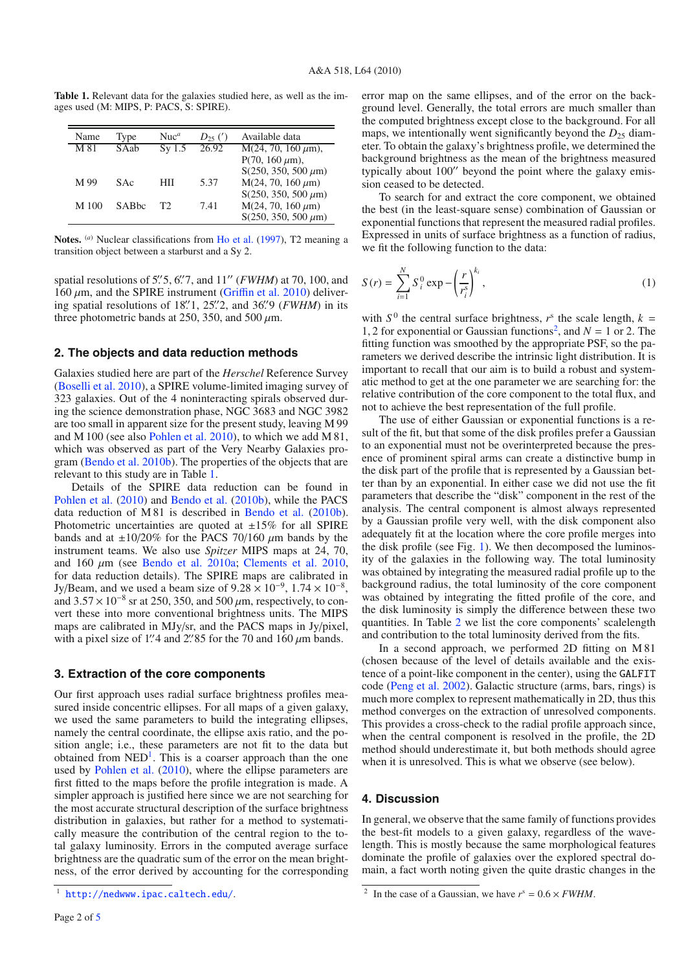<span id="page-1-0"></span>**Table 1.** Relevant data for the galaxies studied here, as well as the images used (M: MIPS, P: PACS, S: SPIRE).

| Name             | Type  | Nnc <sup>a</sup> | $D_{25}$ (') | Available data                        |  |
|------------------|-------|------------------|--------------|---------------------------------------|--|
| M 81             | SAab  | Sv1.5            | 26.92        | $\overline{M(24, 70, 160 \,\mu m)}$ , |  |
|                  |       |                  |              | $P(70, 160 \mu m)$ ,                  |  |
|                  |       |                  |              | $S(250, 350, 500 \,\mu m)$            |  |
| M 99             | SAc   | HП               | 5.37         | $M(24, 70, 160 \,\mu m)$              |  |
|                  |       |                  |              | $S(250, 350, 500 \,\mu m)$            |  |
| M <sub>100</sub> | SABbc | T2.              | 7.41         | $M(24, 70, 160 \,\mu m)$              |  |
|                  |       |                  |              | $S(250, 350, 500 \,\mu m)$            |  |

**Notes.** (*a*) Nuclear classifications from [Ho et al.](#page-3-6) [\(1997](#page-3-6)), T2 meaning a transition object between a starburst and a Sy 2.

spatial resolutions of 5'.' 5, 6'.' 7, and 11" (*FWHM*) at 70, 100, and 160 μm, and the SPIRE instrument (Griffi[n et al. 2010\)](#page-3-7) delivering spatial resolutions of 18'.<sup>'1</sup>, 25'.<sup>'2</sup>, and 36'.<sup>'9</sup> (*FWHM*) in its three photometric bands at 250, 350, and 500  $\mu$ m.

## **2. The objects and data reduction methods**

Galaxies studied here are part of the *Herschel* Reference Survey [\(Boselli et al. 2010\)](#page-3-8), a SPIRE volume-limited imaging survey of 323 galaxies. Out of the 4 noninteracting spirals observed during the science demonstration phase, NGC 3683 and NGC 3982 are too small in apparent size for the present study, leaving M 99 and M 100 (see also [Pohlen et al. 2010](#page-3-9)), to which we add M 81, which was observed as part of the Very Nearby Galaxies program [\(Bendo et al. 2010b\)](#page-3-10). The properties of the objects that are relevant to this study are in Table [1.](#page-1-0)

Details of the SPIRE data reduction can be found in [Pohlen et al.](#page-3-9) [\(2010\)](#page-3-9) and [Bendo et al.](#page-3-10) [\(2010b](#page-3-10)), while the PACS data reduction of M 81 is described in [Bendo et al.](#page-3-10) [\(2010b](#page-3-10)). Photometric uncertainties are quoted at  $\pm 15\%$  for all SPIRE bands and at  $\pm 10/20\%$  for the PACS 70/160 *u*m bands by the instrument teams. We also use *Spitzer* MIPS maps at 24, 70, and 160  $\mu$ m (see [Bendo et al. 2010a](#page-3-11); [Clements et al. 2010,](#page-3-12) for data reduction details). The SPIRE maps are calibrated in Jy/Beam, and we used a beam size of  $9.28 \times 10^{-9}$ ,  $1.74 \times 10^{-8}$ , and  $3.57 \times 10^{-8}$  sr at 250, 350, and 500  $\mu$ m, respectively, to convert these into more conventional brightness units. The MIPS maps are calibrated in MJy/sr, and the PACS maps in Jy/pixel, with a pixel size of 1.' 4 and 2.' 85 for the 70 and 160  $\mu$ m bands.

## **3. Extraction of the core components**

<span id="page-1-1"></span>Our first approach uses radial surface brightness profiles measured inside concentric ellipses. For all maps of a given galaxy, we used the same parameters to build the integrating ellipses, namely the central coordinate, the ellipse axis ratio, and the position angle; i.e., these parameters are not fit to the data but obtained from  $NED<sup>1</sup>$  $NED<sup>1</sup>$  $NED<sup>1</sup>$ . This is a coarser approach than the one used by [Pohlen et al.](#page-3-9) [\(2010\)](#page-3-9), where the ellipse parameters are first fitted to the maps before the profile integration is made. A simpler approach is justified here since we are not searching for the most accurate structural description of the surface brightness distribution in galaxies, but rather for a method to systematically measure the contribution of the central region to the total galaxy luminosity. Errors in the computed average surface brightness are the quadratic sum of the error on the mean brightness, of the error derived by accounting for the corresponding error map on the same ellipses, and of the error on the background level. Generally, the total errors are much smaller than the computed brightness except close to the background. For all maps, we intentionally went significantly beyond the  $D_{25}$  diameter. To obtain the galaxy's brightness profile, we determined the background brightness as the mean of the brightness measured typically about 100" beyond the point where the galaxy emission ceased to be detected.

To search for and extract the core component, we obtained the best (in the least-square sense) combination of Gaussian or exponential functions that represent the measured radial profiles. Expressed in units of surface brightness as a function of radius, we fit the following function to the data:

$$
S(r) = \sum_{i=1}^{N} S_i^0 \exp \left(-\left(\frac{r}{r_i^s}\right)^{k_i},\right)
$$
 (1)

with  $S^0$  the central surface brightness,  $r^s$  the scale length,  $k =$ 1, 2 for exponential or Gaussian functions<sup>2</sup>, and  $N = 1$  or 2. The fitting function was smoothed by the appropriate PSF, so the parameters we derived describe the intrinsic light distribution. It is important to recall that our aim is to build a robust and systematic method to get at the one parameter we are searching for: the relative contribution of the core component to the total flux, and not to achieve the best representation of the full profile.

The use of either Gaussian or exponential functions is a result of the fit, but that some of the disk profiles prefer a Gaussian to an exponential must not be overinterpreted because the presence of prominent spiral arms can create a distinctive bump in the disk part of the profile that is represented by a Gaussian better than by an exponential. In either case we did not use the fit parameters that describe the "disk" component in the rest of the analysis. The central component is almost always represented by a Gaussian profile very well, with the disk component also adequately fit at the location where the core profile merges into the disk profile (see Fig. [1\)](#page-2-0). We then decomposed the luminosity of the galaxies in the following way. The total luminosity was obtained by integrating the measured radial profile up to the background radius, the total luminosity of the core component was obtained by integrating the fitted profile of the core, and the disk luminosity is simply the difference between these two quantities. In Table [2](#page-2-1) we list the core components' scalelength and contribution to the total luminosity derived from the fits.

In a second approach, we performed 2D fitting on M 81 (chosen because of the level of details available and the existence of a point-like component in the center), using the GALFIT code [\(Peng et al. 2002](#page-3-13)). Galactic structure (arms, bars, rings) is much more complex to represent mathematically in 2D, thus this method converges on the extraction of unresolved components. This provides a cross-check to the radial profile approach since, when the central component is resolved in the profile, the 2D method should underestimate it, but both methods should agree when it is unresolved. This is what we observe (see below).

#### <span id="page-1-2"></span>**4. Discussion**

In general, we observe that the same family of functions provides the best-fit models to a given galaxy, regardless of the wavelength. This is mostly because the same morphological features dominate the profile of galaxies over the explored spectral domain, a fact worth noting given the quite drastic changes in the

<sup>1</sup> <http://nedwww.ipac.caltech.edu/>.

<sup>&</sup>lt;sup>2</sup> In the case of a Gaussian, we have  $r^s = 0.6 \times FWHM$ .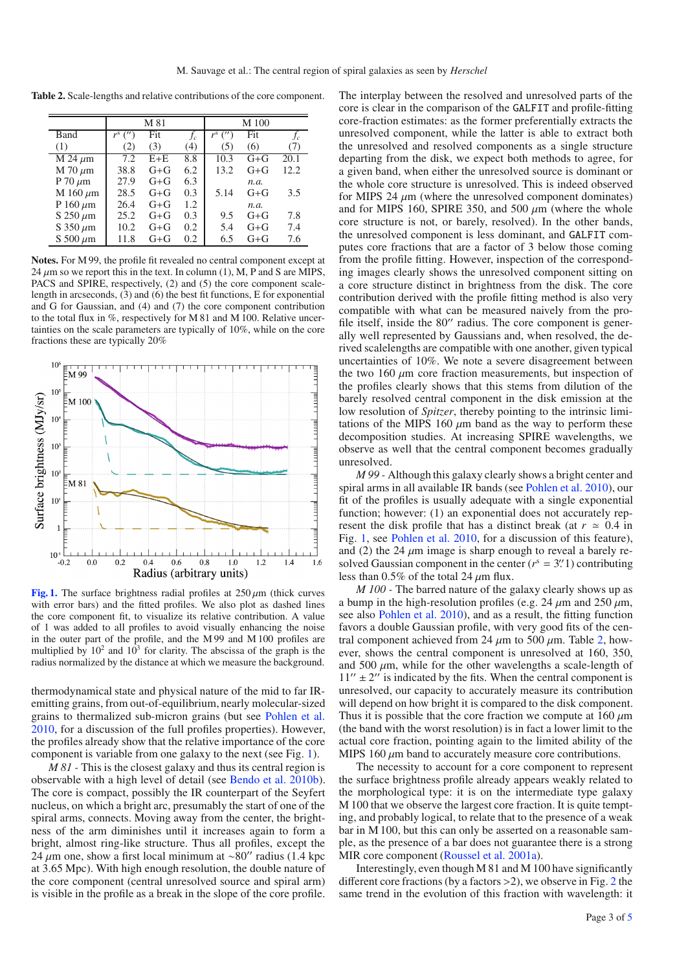<span id="page-2-1"></span>**Table 2.** Scale-lengths and relative contributions of the core component.

|                           | M 81                         |         |     | M 100                        |         |      |
|---------------------------|------------------------------|---------|-----|------------------------------|---------|------|
| Band                      | $r^{s}$<br>$^{\prime\prime}$ | Fit     | fc  | $r^{s}$<br>$^{\prime\prime}$ | Fit     | fc   |
| (1)                       | (2)                          | (3)     | (4) | (5)                          | (6)     | (7)  |
| $\overline{M}$ 24 $\mu$ m | 7.2                          | $E + E$ | 8.8 | 10.3                         | $G + G$ | 20.1 |
| $M$ 70 $\mu$ m            | 38.8                         | $G + G$ | 6.2 | 13.2                         | $G + G$ | 12.2 |
| P 70 $\mu$ m              | 27.9                         | $G + G$ | 6.3 |                              | n.a.    |      |
| M 160 $\mu$ m             | 28.5                         | $G + G$ | 0.3 | 5.14                         | $G + G$ | 3.5  |
| P 160 $\mu$ m             | 26.4                         | $G + G$ | 1.2 |                              | n.a.    |      |
| $S$ 250 $\mu$ m           | 25.2                         | $G + G$ | 0.3 | 9.5                          | $G + G$ | 7.8  |
| S 350 $\mu$ m             | 10.2                         | $G + G$ | 0.2 | 5.4                          | $G + G$ | 7.4  |
| S 500 $\mu$ m             | 11.8                         | $G + G$ | 0.2 | 6.5                          | $G + G$ | 7.6  |

**Notes.** For M 99, the profile fit revealed no central component except at 24  $\mu$ m so we report this in the text. In column (1), M, P and S are MIPS, PACS and SPIRE, respectively, (2) and (5) the core component scalelength in arcseconds, (3) and (6) the best fit functions, E for exponential and G for Gaussian, and (4) and (7) the core component contribution to the total flux in %, respectively for M 81 and M 100. Relative uncertainties on the scale parameters are typically of 10%, while on the core fractions these are typically 20%

<span id="page-2-0"></span>

[Fig. 1.](http://dexter.edpsciences.org/applet.php?DOI=10.1051/0004-6361/201014588&pdf_id=1) The surface brightness radial profiles at  $250 \mu m$  (thick curves with error bars) and the fitted profiles. We also plot as dashed lines the core component fit, to visualize its relative contribution. A value of 1 was added to all profiles to avoid visually enhancing the noise in the outer part of the profile, and the M 99 and M 100 profiles are multiplied by  $10^2$  and  $10^3$  for clarity. The abscissa of the graph is the radius normalized by the distance at which we measure the background.

thermodynamical state and physical nature of the mid to far IRemitting grains, from out-of-equilibrium, nearly molecular-sized grains to thermalized sub-micron grains (but see [Pohlen et al.](#page-3-9) [2010](#page-3-9), for a discussion of the full profiles properties). However, the profiles already show that the relative importance of the core component is variable from one galaxy to the next (see Fig. [1\)](#page-2-0).

*M 81 -* This is the closest galaxy and thus its central region is observable with a high level of detail (see [Bendo et al. 2010b](#page-3-10)). The core is compact, possibly the IR counterpart of the Seyfert nucleus, on which a bright arc, presumably the start of one of the spiral arms, connects. Moving away from the center, the brightness of the arm diminishes until it increases again to form a bright, almost ring-like structure. Thus all profiles, except the 24 μm one, show a first local minimum at ~80" radius (1.4 kpc at 3.65 Mpc). With high enough resolution, the double nature of the core component (central unresolved source and spiral arm) is visible in the profile as a break in the slope of the core profile.

The interplay between the resolved and unresolved parts of the core is clear in the comparison of the GALFIT and profile-fitting core-fraction estimates: as the former preferentially extracts the unresolved component, while the latter is able to extract both the unresolved and resolved components as a single structure departing from the disk, we expect both methods to agree, for a given band, when either the unresolved source is dominant or the whole core structure is unresolved. This is indeed observed for MIPS 24  $\mu$ m (where the unresolved component dominates) and for MIPS 160, SPIRE 350, and 500  $\mu$ m (where the whole core structure is not, or barely, resolved). In the other bands, the unresolved component is less dominant, and GALFIT computes core fractions that are a factor of 3 below those coming from the profile fitting. However, inspection of the corresponding images clearly shows the unresolved component sitting on a core structure distinct in brightness from the disk. The core contribution derived with the profile fitting method is also very compatible with what can be measured naively from the profile itself, inside the 80" radius. The core component is generally well represented by Gaussians and, when resolved, the derived scalelengths are compatible with one another, given typical uncertainties of 10%. We note a severe disagreement between the two 160  $\mu$ m core fraction measurements, but inspection of the profiles clearly shows that this stems from dilution of the barely resolved central component in the disk emission at the low resolution of *Spitzer*, thereby pointing to the intrinsic limitations of the MIPS 160  $\mu$ m band as the way to perform these decomposition studies. At increasing SPIRE wavelengths, we observe as well that the central component becomes gradually unresolved.

*M 99 -* Although this galaxy clearly shows a bright center and spiral arms in all available IR bands (see [Pohlen et al. 2010\)](#page-3-9), our fit of the profiles is usually adequate with a single exponential function; however: (1) an exponential does not accurately represent the disk profile that has a distinct break (at  $r \approx 0.4$  in Fig. [1,](#page-2-0) see [Pohlen et al. 2010,](#page-3-9) for a discussion of this feature), and (2) the 24  $\mu$ m image is sharp enough to reveal a barely resolved Gaussian component in the center  $(r^s = 3.1)$  contributing less than  $0.5\%$  of the total 24  $\mu$ m flux.

*M 100 -* The barred nature of the galaxy clearly shows up as a bump in the high-resolution profiles (e.g. 24  $\mu$ m and 250  $\mu$ m, see also [Pohlen et al. 2010\)](#page-3-9), and as a result, the fitting function favors a double Gaussian profile, with very good fits of the central component achieved from 24  $\mu$ m to 500  $\mu$ m. Table [2,](#page-2-1) however, shows the central component is unresolved at 160, 350, and 500  $\mu$ m, while for the other wavelengths a scale-length of  $11'' \pm 2''$  is indicated by the fits. When the central component is unresolved, our capacity to accurately measure its contribution will depend on how bright it is compared to the disk component. Thus it is possible that the core fraction we compute at  $160 \mu m$ (the band with the worst resolution) is in fact a lower limit to the actual core fraction, pointing again to the limited ability of the MIPS 160  $\mu$ m band to accurately measure core contributions.

The necessity to account for a core component to represent the surface brightness profile already appears weakly related to the morphological type: it is on the intermediate type galaxy M 100 that we observe the largest core fraction. It is quite tempting, and probably logical, to relate that to the presence of a weak bar in M 100, but this can only be asserted on a reasonable sample, as the presence of a bar does not guarantee there is a strong MIR core component [\(Roussel et al. 2001a](#page-3-1)).

Interestingly, even though M 81 and M 100 have significantly different core fractions (by a factors >2), we observe in Fig. [2](#page-3-14) the same trend in the evolution of this fraction with wavelength: it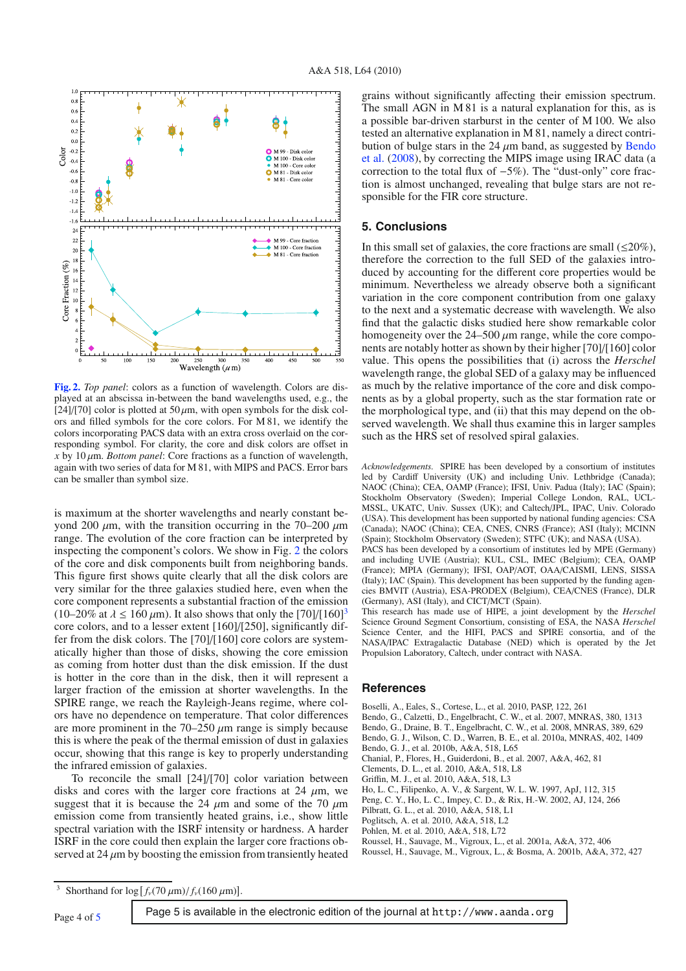<span id="page-3-14"></span>

**[Fig. 2.](http://dexter.edpsciences.org/applet.php?DOI=10.1051/0004-6361/201014588&pdf_id=2)** *Top panel*: colors as a function of wavelength. Colors are displayed at an abscissa in-between the band wavelengths used, e.g., the [24]/[70] color is plotted at 50  $\mu$ m, with open symbols for the disk colors and filled symbols for the core colors. For M 81, we identify the colors incorporating PACS data with an extra cross overlaid on the corresponding symbol. For clarity, the core and disk colors are offset in *x* by 10  $\mu$ m. *Bottom panel*: Core fractions as a function of wavelength, again with two series of data for M 81, with MIPS and PACS. Error bars can be smaller than symbol size.

is maximum at the shorter wavelengths and nearly constant beyond 200  $\mu$ m, with the transition occurring in the 70–200  $\mu$ m range. The evolution of the core fraction can be interpreted by inspecting the component's colors. We show in Fig. [2](#page-3-14) the colors of the core and disk components built from neighboring bands. This figure first shows quite clearly that all the disk colors are very similar for the three galaxies studied here, even when the core component represents a substantial fraction of the emission (10–20% at  $\lambda \le 160 \,\mu$ m). It also shows that only the [70]/[160]<sup>[3](#page-3-15)</sup> core colors, and to a lesser extent [160]/[250], significantly differ from the disk colors. The [70]/[160] core colors are systematically higher than those of disks, showing the core emission as coming from hotter dust than the disk emission. If the dust is hotter in the core than in the disk, then it will represent a larger fraction of the emission at shorter wavelengths. In the SPIRE range, we reach the Rayleigh-Jeans regime, where colors have no dependence on temperature. That color differences are more prominent in the  $70-250 \mu m$  range is simply because this is where the peak of the thermal emission of dust in galaxies occur, showing that this range is key to properly understanding the infrared emission of galaxies.

<span id="page-3-15"></span>To reconcile the small [24]/[70] color variation between disks and cores with the larger core fractions at 24  $\mu$ m, we suggest that it is because the 24  $\mu$ m and some of the 70  $\mu$ m emission come from transiently heated grains, i.e., show little spectral variation with the ISRF intensity or hardness. A harder ISRF in the core could then explain the larger core fractions observed at  $24 \mu m$  by boosting the emission from transiently heated

grains without significantly affecting their emission spectrum. The small AGN in M 81 is a natural explanation for this, as is a possible bar-driven starburst in the center of M 100. We also tested an alternative explanation in M 81, namely a direct contributi[on of bulge stars in the 24](#page-3-16)  $\mu$ m band, as suggested by Bendo et al. [\(2008\)](#page-3-16), by correcting the MIPS image using IRAC data (a correction to the total flux of −5%). The "dust-only" core fraction is almost unchanged, revealing that bulge stars are not responsible for the FIR core structure.

## **5. Conclusions**

In this small set of galaxies, the core fractions are small  $(\leq 20\%)$ , therefore the correction to the full SED of the galaxies introduced by accounting for the different core properties would be minimum. Nevertheless we already observe both a significant variation in the core component contribution from one galaxy to the next and a systematic decrease with wavelength. We also find that the galactic disks studied here show remarkable color homogeneity over the  $24-500 \mu m$  range, while the core components are notably hotter as shown by their higher [70]/[160] color value. This opens the possibilities that (i) across the *Herschel* wavelength range, the global SED of a galaxy may be influenced as much by the relative importance of the core and disk components as by a global property, such as the star formation rate or the morphological type, and (ii) that this may depend on the observed wavelength. We shall thus examine this in larger samples such as the HRS set of resolved spiral galaxies.

*Acknowledgements.* SPIRE has been developed by a consortium of institutes led by Cardiff University (UK) and including Univ. Lethbridge (Canada); NAOC (China); CEA, OAMP (France); IFSI, Univ. Padua (Italy); IAC (Spain); Stockholm Observatory (Sweden); Imperial College London, RAL, UCL-MSSL, UKATC, Univ. Sussex (UK); and Caltech/JPL, IPAC, Univ. Colorado (USA). This development has been supported by national funding agencies: CSA (Canada); NAOC (China); CEA, CNES, CNRS (France); ASI (Italy); MCINN (Spain); Stockholm Observatory (Sweden); STFC (UK); and NASA (USA). PACS has been developed by a consortium of institutes led by MPE (Germany) and including UVIE (Austria); KUL, CSL, IMEC (Belgium); CEA, OAMP

(France); MPIA (Germany); IFSI, OAP/AOT, OAA/CAISMI, LENS, SISSA (Italy); IAC (Spain). This development has been supported by the funding agencies BMVIT (Austria), ESA-PRODEX (Belgium), CEA/CNES (France), DLR (Germany), ASI (Italy), and CICT/MCT (Spain).

This research has made use of HIPE, a joint development by the *Herschel* Science Ground Segment Consortium, consisting of ESA, the NASA *Herschel* Science Center, and the HIFI, PACS and SPIRE consortia, and of the NASA/IPAC Extragalactic Database (NED) which is operated by the Jet Propulsion Laboratory, Caltech, under contract with NASA.

### **References**

<span id="page-3-8"></span>Boselli, A., Eales, S., Cortese, L., et al. 2010, PASP, 122, 261

<span id="page-3-0"></span>Bendo, G., Calzetti, D., Engelbracht, C. W., et al. 2007, MNRAS, 380, 1313 Bendo, G., Draine, B. T., Engelbracht, C. W., et al. 2008, MNRAS, 389, 629

<span id="page-3-16"></span><span id="page-3-11"></span>Bendo, G. J., Wilson, C. D., Warren, B. E., et al. 2010a, MNRAS, 402, 1409

<span id="page-3-10"></span>Bendo, G. J., et al. 2010b, A&A, 518, L65

<span id="page-3-3"></span>Chanial, P., Flores, H., Guiderdoni, B., et al. 2007, A&A, 462, 81

- Clements, D. L., et al. 2010, A&A, 518, L8
- <span id="page-3-12"></span><span id="page-3-7"></span>Griffin, M. J., et al. 2010, A&A, 518, L3
- <span id="page-3-6"></span>Ho, L. C., Filipenko, A. V., & Sargent, W. L. W. 1997, ApJ, 112, 315 Peng, C. Y., Ho, L. C., Impey, C. D., & Rix, H.-W. 2002, AJ, 124, 266
- <span id="page-3-13"></span>Pilbratt, G. L., et al. 2010, A&A, 518, L1
- <span id="page-3-4"></span>Poglitsch, A. et al. 2010, A&A, 518, L2
- <span id="page-3-9"></span><span id="page-3-5"></span>Pohlen, M. et al. 2010, A&A, 518, L72
- Roussel, H., Sauvage, M., Vigroux, L., et al. 2001a, A&A, 372, 406
- <span id="page-3-2"></span><span id="page-3-1"></span>Roussel, H., Sauvage, M., Vigroux, L., & Bosma, A. 2001b, A&A, 372, 427

Page 4 of [5](#page-4-0) Page 5 is available in the electronic edition of the journal at http://www.aanda.org

<sup>&</sup>lt;sup>3</sup> Shorthand for  $\log [f_v(70 \,\mu\text{m})/f_v(160 \,\mu\text{m})]$ .